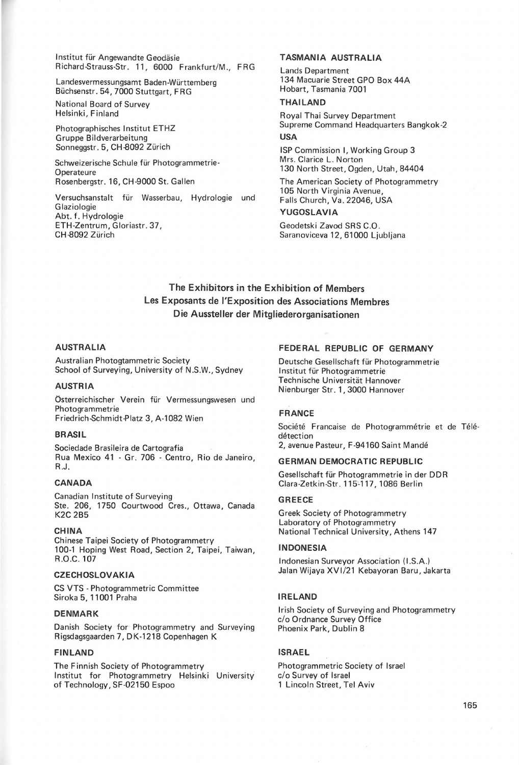Institut für Angewandte Geodäsie Richard-Strauss-Str. 11, 6000 Frankfurt/M., FRG

Landesvermessungsamt Baden-Wurttemberg Buchsenstr. 54, 7000 Stuttgart, F RG

National Board of Survey Helsinki, Finland

Photographisches lnstitut ETHZ Gruppe Bildverarbeitung Sonneggstr. 5, CH-8092 Zürich

Schweizerische Schule für Photogrammetrie-**Operateure** Rosenbergstr. 16, CH-9000 St. Galien

Versuchsanstalt für Wasserbau, Hydrologie und **Glaziologie** Abt. f. Hydrologie ETH-Zentrum, Gloriastr. 37, CH-8092 Zürich

## TASMANIA AUSTRALIA

Lands Department 134 Macuarie Street GPO Box 44A Hobart, Tasmania 7001

#### THAILAND

Royal Thai Survey Department Supreme Command Headquarters Bangkok-2 USA

ISP Commission I, Working Group 3 Mrs. Clarice L. Norton 130 North Street, Ogden, Utah, 84404

The American Society of Photogrammetry 105 North Virginia Avenue, Falls Church, Va. 22046, USA YUGOSLAVIA

Geodetski Zavod SRS C.O.

Saranoviceva 12, 61000 Ljubljana

# The Exhibitors in the Exhibition of Members Les Exposants de !'Exposition des Associations Membres Die Aussteller der Mitgliederorganisationen

#### AUSTRALIA

Australian Photogtammetric Society School of Surveying, University of N.S.W., Sydney

#### AUSTRIA

Österreichischer Verein für Vermessungswesen und Photogrammetrie Friedrich-Schmidt-Piatz 3, A-1082 Wien

### BRASIL

Sociedade Brasileira de Cartografia Rua Mexico 41 - Gr. 706 - Centro, Rio de Janeiro, R.J.

## CANADA

Canadian Institute of Surveying Ste. 206, 1750 Courtwood Cres., Ottawa, Canada K2C 2B5

#### CHINA

Chinese Taipei Society of Photogrammetry 100-1 Hoping West Road, Section 2, Taipei, Taiwan, R.O.C. 107

## **CZECHOSLOVAKIA**

CS VTS - Photogrammetric Committee Siroka 5, 11001 Praha

## DENMARK

Danish Society for Photogrammetry and Surveying Rigsdagsgaarden 7, DK-1218 Copenhagen K

#### FINLAND

The Finnish Society of Photogrammetry lnstitut for Photogrammetry Helsinki University of Technology, SF-02150 Espoo

### FEDERAL REPUBLIC OF GERMANY

Deutsche Gesellschaft für Photogrammetrie Institut für Photogrammetrie Technische Universität Hannover Nienburger Str. 1, 3000 Hannover

### FRANCE

Société Francaise de Photogrammétrie et de Télédetection

2, avenue Pasteur, F-94160 Saint Mande

#### GERMAN DEMOCRATIC REPUBLIC

Gesellschaft fur Photogrammetrie in der DDR Clara-Zetkin-Str. 115-117, 1086 Berlin

#### GREECE

Greek Society of Photogrammetry Laboratory of Photogrammetry National Technical University, Athens 147

#### INDONESIA

Indonesian Surveyor Association (I.S.A.) Jalan Wijaya XVI/21 Kebayoran Baru, Jakarta

#### IRELAND

Irish Society of Surveying and Photogrammetry c/o Ordnance Survey Office Phoenix Park, Dublin 8

### ISRAEL

Photogrammetric Society of Israel c/o Survey of Israel 1 Lincoln Street, Tel Aviv